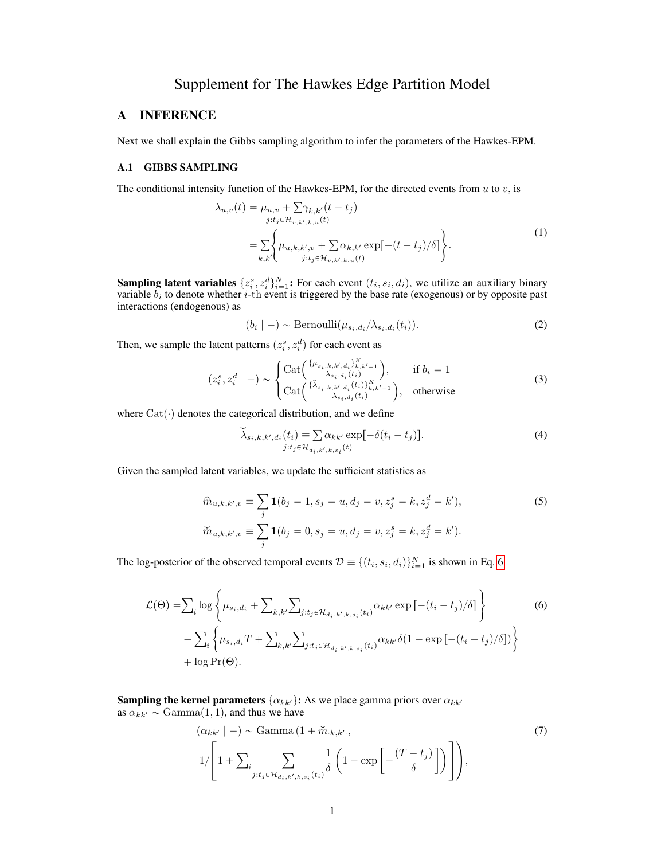# Supplement for The Hawkes Edge Partition Model

## A INFERENCE

Next we shall explain the Gibbs sampling algorithm to infer the parameters of the Hawkes-EPM.

#### A.1 GIBBS SAMPLING

The conditional intensity function of the Hawkes-EPM, for the directed events from  $u$  to  $v$ , is

<span id="page-0-3"></span>
$$
\lambda_{u,v}(t) = \mu_{u,v} + \sum_{j:t_j \in \mathcal{H}_{v,k',k,u}(t)} \gamma_{k,k',v} (t - t_j)
$$
\n
$$
= \sum_{k,k'} \left\{ \mu_{u,k,k',v} + \sum_{j:t_j \in \mathcal{H}_{v,k',k,u}(t)} \alpha_{k,k'} \exp[-(t - t_j)/\delta] \right\}.
$$
\n(1)

**Sampling latent variables**  $\{z_i^s, z_i^d\}_{i=1}^N$ : For each event  $(t_i, s_i, d_i)$ , we utilize an auxiliary binary variable  $b_i$  to denote whether *i*-th event is triggered by the base rate (exogenous) or by opposite past interactions (endogenous) as

<span id="page-0-2"></span><span id="page-0-1"></span>
$$
(b_i \mid -) \sim \text{Bernoulli}(\mu_{s_i, d_i} / \lambda_{s_i, d_i}(t_i)). \tag{2}
$$

Then, we sample the latent patterns  $(z_i^s, z_i^d)$  for each event as

$$
(z_i^s, z_i^d \mid -) \sim \begin{cases} \text{Cat}\Big(\frac{\{\mu_{s_i, k, k', d_i}\}_{k, k'=1}^K}{\lambda_{s_i, d_i}(t_i)}\Big), & \text{if } b_i = 1\\ \text{Cat}\Big(\frac{\{\lambda_{s_i, k, k', d_i}(t_i)\}_{k, k'=1}^K}{\lambda_{s_i, d_i}(t_i)}\Big), & \text{otherwise} \end{cases}
$$
(3)

where  $Cat(\cdot)$  denotes the categorical distribution, and we define

<span id="page-0-4"></span><span id="page-0-0"></span>
$$
\widetilde{\lambda}_{s_i,k,k',d_i}(t_i) \equiv \sum_{j:t_j \in \mathcal{H}_{d_i,k',k,s_i}(t)} \exp[-\delta(t_i - t_j)].
$$
\n(4)

Given the sampled latent variables, we update the sufficient statistics as

$$
\hat{m}_{u,k,k',v} \equiv \sum_{j} \mathbf{1}(b_j = 1, s_j = u, d_j = v, z_j^s = k, z_j^d = k'),
$$
\n
$$
\check{m}_{u,k,k',v} \equiv \sum_{j} \mathbf{1}(b_j = 0, s_j = u, d_j = v, z_j^s = k, z_j^d = k').
$$
\n(5)

The log-posterior of the observed temporal events  $\mathcal{D} \equiv \{(t_i, s_i, d_i)\}_{i=1}^N$  is shown in Eq. [6](#page-0-0)

$$
\mathcal{L}(\Theta) = \sum_{i} \log \left\{ \mu_{s_i, d_i} + \sum_{k, k'} \sum_{j: t_j \in \mathcal{H}_{d_i, k', k, s_i}(t_i)} \alpha_{kk'} \exp\left[ -(t_i - t_j) / \delta \right] \right\}
$$
\n
$$
- \sum_{i} \left\{ \mu_{s_i, d_i} T + \sum_{k, k'} \sum_{j: t_j \in \mathcal{H}_{d_i, k', k, s_i}(t_i)} \alpha_{kk'} \delta(1 - \exp\left[ -(t_i - t_j) / \delta \right] ) \right\}
$$
\n
$$
+ \log \Pr(\Theta).
$$
\n(6)

**Sampling the kernel parameters**  $\{\alpha_{kk'}\}\text{: As we place gamma priors over  $\alpha_{kk'}$$ as  $\alpha_{kk'} \sim \text{Gamma}(1, 1)$ , and thus we have

<span id="page-0-5"></span>
$$
(\alpha_{kk'} | -) \sim \text{Gamma} \left( 1 + \widetilde{m}_{\cdot k, k' \cdot}, \right)
$$
  

$$
1 / \left[ 1 + \sum_{i} \sum_{j: t_j \in \mathcal{H}_{d_i, k', k, s_i}(t_i)} \frac{1}{\delta} \left( 1 - \exp \left[ -\frac{(T - t_j)}{\delta} \right] \right) \right],
$$
 (7)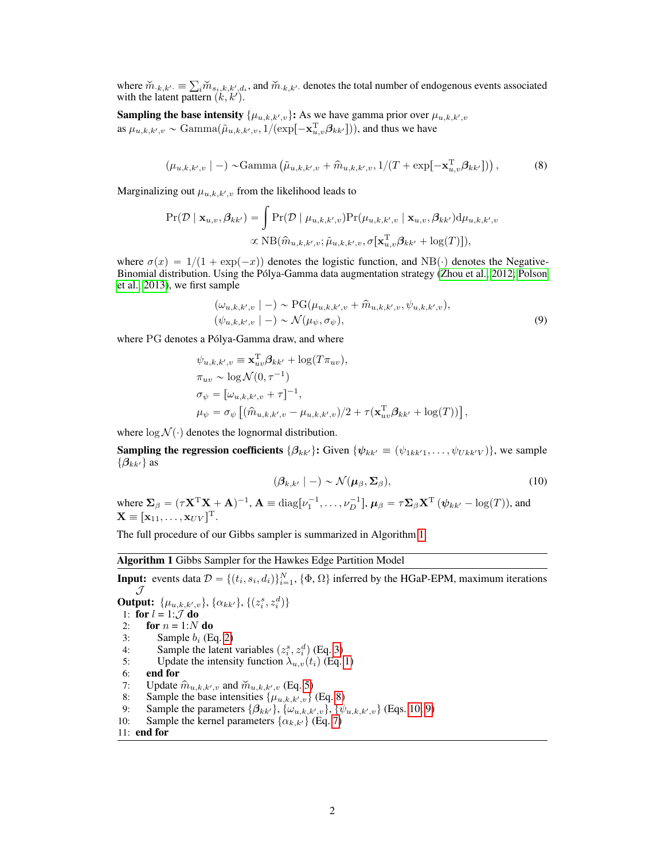where  $\check{m}_{k,k'} \equiv$  $\sum_i \widetilde{m}_{s_i,k,k',d_i}$ , and  $\widetilde{m}_{k,k'}$  denotes the total number of endogenous events associated with the latent pattern  $(k, k')$ .

**Sampling the base intensity**  $\{\mu_{u,k,k',v}\}\text{: As we have gamma prior over } \mu_{u,k,k',v}$ as  $\mu_{u,k,k',v} \sim \text{Gamma}(\tilde{\mu}_{u,k,k',v}, 1/(\exp[-\mathbf{x}_{u,v}^{\text{T}} \boldsymbol{\beta}_{kk'}]))$ , and thus we have

$$
(\mu_{u,k,k',v} \mid -) \sim \text{Gamma}\left(\tilde{\mu}_{u,k,k',v} + \hat{m}_{u,k,k',v}, 1/(T + \exp[-\mathbf{x}_{u,v}^{\mathrm{T}} \boldsymbol{\beta}_{kk'}])\right),\tag{8}
$$

Marginalizing out  $\mu_{u,k,k',v}$  from the likelihood leads to

$$
\Pr(\mathcal{D} \mid \mathbf{x}_{u,v}, \beta_{kk'}) = \int \Pr(\mathcal{D} \mid \mu_{u,k,k',v}) \Pr(\mu_{u,k,k',v} \mid \mathbf{x}_{u,v}, \beta_{kk'}) d\mu_{u,k,k',v}
$$

$$
\propto \text{NB}(\hat{m}_{u,k,k',v}; \tilde{\mu}_{u,k,k',v}, \sigma[\mathbf{x}_{u,v}^{\text{T}} \beta_{kk'} + \log(T)]),
$$

where  $\sigma(x) = 1/(1 + \exp(-x))$  denotes the logistic function, and NB( $\cdot$ ) denotes the Negative-Binomial distribution. Using the Pólya-Gamma data augmentation strategy [\(Zhou et al., 2012;](#page-7-0) [Polson](#page-7-1) [et al., 2013\)](#page-7-1), we first sample

<span id="page-1-1"></span>
$$
(\omega_{u,k,k',v} \mid -) \sim \text{PG}(\mu_{u,k,k',v} + \hat{m}_{u,k,k',v}, \psi_{u,k,k',v}),
$$
  

$$
(\psi_{u,k,k',v} \mid -) \sim \mathcal{N}(\mu_{\psi}, \sigma_{\psi}),
$$
 (9)

where PG denotes a Pólya-Gamma draw, and where

$$
\psi_{u,k,k',v} \equiv \mathbf{x}_{uv}^{\mathrm{T}} \beta_{kk'} + \log(T \pi_{uv}),
$$
  
\n
$$
\pi_{uv} \sim \log \mathcal{N}(0, \tau^{-1})
$$
  
\n
$$
\sigma_{\psi} = [\omega_{u,k,k',v} + \tau]^{-1},
$$
  
\n
$$
\mu_{\psi} = \sigma_{\psi} [(\hat{m}_{u,k,k',v} - \mu_{u,k,k',v})/2 + \tau(\mathbf{x}_{uv}^{\mathrm{T}} \beta_{kk'} + \log(T))],
$$

where  $\log \mathcal{N}(\cdot)$  denotes the lognormal distribution.

**Sampling the regression coefficients**  $\{\beta_{kk'}\}\$ : Given  $\{\psi_{kk'} \equiv (\psi_{1kk'1}, \dots, \psi_{Ukk'V})\}$ , we sample  $\{\beta_{kk'}\}$  as

<span id="page-1-3"></span><span id="page-1-2"></span>
$$
(\beta_{k,k'} | -) \sim \mathcal{N}(\boldsymbol{\mu}_{\beta}, \boldsymbol{\Sigma}_{\beta}), \qquad (10)
$$

where  $\Sigma_{\beta} = (\tau \mathbf{X}^{\mathrm{T}} \mathbf{X} + \mathbf{A})^{-1}$ ,  $\mathbf{A} \equiv \text{diag}[\nu_1^{-1}, \dots, \nu_D^{-1}]$ ,  $\mu_{\beta} = \tau \Sigma_{\beta} \mathbf{X}^{\mathrm{T}} (\psi_{kk'} - \log(T))$ , and  $\mathbf{X} \equiv [\mathbf{x}_{11}, \dots, \mathbf{x}_{UV}]^{\mathrm{T}}.$ 

The full procedure of our Gibbs sampler is summarized in Algorithm [1.](#page-1-0)

#### <span id="page-1-0"></span>Algorithm 1 Gibbs Sampler for the Hawkes Edge Partition Model

**Input:** events data  $\mathcal{D} = \{(t_i, s_i, d_i)\}_{i=1}^N$ ,  $\{\Phi, \Omega\}$  inferred by the HGaP-EPM, maximum iterations  ${\mathcal J}$ 

**Output:**  $\{\mu_{u,k,k',v}\}, \{\alpha_{kk'}\}, \{(z_i^s, z_i^d)\}\$ 1: for  $l = 1:\mathcal{J}$  do 2: for  $n = 1:N$  do<br>3: Sample  $b_i$  (E 3: Sample  $b_i$  (Eq. [2\)](#page-0-1)<br>4: Sample the latent 4: Sample the latent variables  $(z_i^s, z_i^d)$  (Eq. [3\)](#page-0-2) 5: Update the intensity function  $\lambda_{u,v}(t_i)$  (Eq. [1\)](#page-0-3) 6: end for 7: Update  $\hat{m}_{u,k,k',v}$  and  $\check{m}_{u,k,k',v}$  (Eq. [5\)](#page-0-4) 8: Sample the base intensities  $\{\mu_{u,k,k',v}\}\$  (Eq. [8\)](#page-1-1) 9: Sample the parameters  $\{\beta_{kk'}\}, \{\omega_{u,k,k',v}\}, \{\psi_{u,k,k',v}\}\$  (Eqs. [10;](#page-1-2) [9\)](#page-1-3) 10: Sample the kernel parameters  $\{\alpha_{k,k'}\}$  (Eq. [7\)](#page-0-5) 11: end for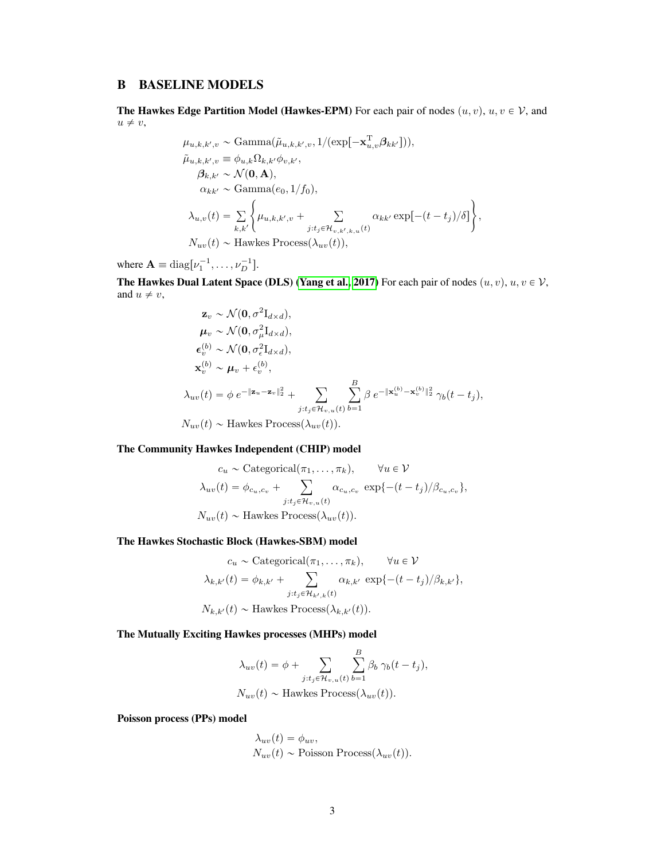## B BASELINE MODELS

The Hawkes Edge Partition Model (Hawkes-EPM) For each pair of nodes  $(u, v), u, v \in V$ , and  $u \neq v$ ,

$$
\mu_{u,k,k',v} \sim \text{Gamma}(\tilde{\mu}_{u,k,k',v}, 1/(\exp[-\mathbf{x}_{u,v}^{\mathrm{T}}\boldsymbol{\beta}_{kk'}])),
$$
  
\n
$$
\tilde{\mu}_{u,k,k',v} \equiv \phi_{u,k}\Omega_{k,k'}\phi_{v,k'},
$$
  
\n
$$
\beta_{k,k'} \sim \mathcal{N}(\mathbf{0}, \mathbf{A}),
$$
  
\n
$$
\alpha_{kk'} \sim \text{Gamma}(e_0, 1/f_0),
$$
  
\n
$$
\lambda_{u,v}(t) = \sum_{k,k'} \left\{ \mu_{u,k,k',v} + \sum_{j:t_j \in \mathcal{H}_{v,k',k,u}(t)} \alpha_{kk'} \exp[-(t-t_j)/\delta] \right\},
$$
  
\n
$$
N_{uv}(t) \sim \text{Hawkes Process}(\lambda_{uv}(t)),
$$

where  $\mathbf{A} \equiv \text{diag}[\nu_1^{-1}, \dots, \nu_D^{-1}].$ 

The Hawkes Dual Latent Space (DLS) [\(Yang et al., 2017\)](#page-7-2) For each pair of nodes  $(u, v), u, v \in V$ , and  $u \neq v$ ,

$$
\mathbf{z}_{v} \sim \mathcal{N}(\mathbf{0}, \sigma^{2} \mathbf{I}_{d \times d}),
$$
\n
$$
\boldsymbol{\mu}_{v} \sim \mathcal{N}(\mathbf{0}, \sigma_{\mu}^{2} \mathbf{I}_{d \times d}),
$$
\n
$$
\boldsymbol{\epsilon}_{v}^{(b)} \sim \mathcal{N}(\mathbf{0}, \sigma_{\epsilon}^{2} \mathbf{I}_{d \times d}),
$$
\n
$$
\mathbf{x}_{v}^{(b)} \sim \boldsymbol{\mu}_{v} + \epsilon_{v}^{(b)},
$$
\n
$$
\lambda_{uv}(t) = \phi \, e^{-\|\mathbf{z}_{u} - \mathbf{z}_{v}\|_{2}^{2}} + \sum_{j:t_{j} \in \mathcal{H}_{v, u}(t)} \sum_{b=1}^{B} \beta \, e^{-\|\mathbf{x}_{u}^{(b)} - \mathbf{x}_{v}^{(b)}\|_{2}^{2}} \, \gamma_{b}(t - t_{j}),
$$
\n
$$
N_{uv}(t) \sim \text{Hawkes Process}(\lambda_{uv}(t)).
$$

The Community Hawkes Independent (CHIP) model

$$
c_u \sim \text{Categorical}(\pi_1, \dots, \pi_k), \qquad \forall u \in \mathcal{V}
$$

$$
\lambda_{uv}(t) = \phi_{c_u, c_v} + \sum_{j:t_j \in \mathcal{H}_{v, u}(t)} \alpha_{c_u, c_v} \exp\{-(t - t_j)/\beta_{c_u, c_v}\},
$$

$$
N_{uv}(t) \sim \text{Hawkes Process}(\lambda_{uv}(t)).
$$

The Hawkes Stochastic Block (Hawkes-SBM) model

$$
c_u \sim \text{Categorical}(\pi_1, \dots, \pi_k), \qquad \forall u \in \mathcal{V}
$$

$$
\lambda_{k,k'}(t) = \phi_{k,k'} + \sum_{j:t_j \in \mathcal{H}_{k',k}(t)} \alpha_{k,k'} \exp\{-(t-t_j)/\beta_{k,k'}\},
$$

$$
N_{k,k'}(t) \sim \text{Hawkes Process}(\lambda_{k,k'}(t)).
$$

The Mutually Exciting Hawkes processes (MHPs) model

$$
\lambda_{uv}(t) = \phi + \sum_{j:t_j \in \mathcal{H}_{v,u}(t)} \sum_{b=1}^{B} \beta_b \gamma_b(t - t_j),
$$
  

$$
N_{uv}(t) \sim \text{Hawkes Process}(\lambda_{uv}(t)).
$$

Poisson process (PPs) model

$$
\lambda_{uv}(t) = \phi_{uv},
$$
  
\n
$$
N_{uv}(t) \sim \text{Poisson Process}(\lambda_{uv}(t)).
$$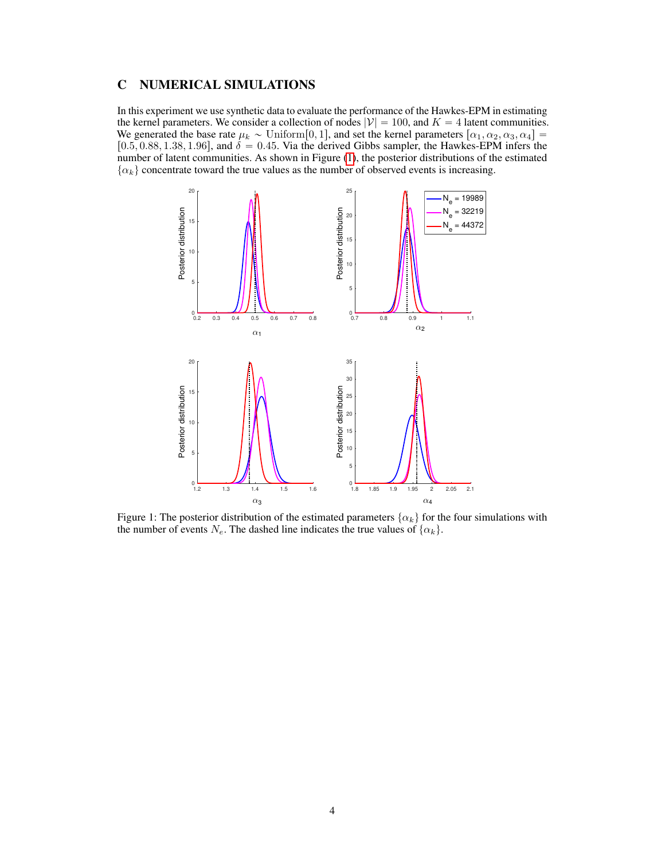### C NUMERICAL SIMULATIONS

In this experiment we use synthetic data to evaluate the performance of the Hawkes-EPM in estimating the kernel parameters. We consider a collection of nodes  $|V| = 100$ , and  $K = 4$  latent communities. We generated the base rate  $\mu_k \sim \text{Uniform}[0, 1]$ , and set the kernel parameters  $[\alpha_1, \alpha_2, \alpha_3, \alpha_4] =$ [0.5, 0.88, 1.38, 1.96], and  $\delta = 0.45$ . Via the derived Gibbs sampler, the Hawkes-EPM infers the number of latent communities. As shown in Figure [\(1\)](#page-3-0), the posterior distributions of the estimated  $\{\alpha_k\}$  concentrate toward the true values as the number of observed events is increasing.

<span id="page-3-0"></span>

Figure 1: The posterior distribution of the estimated parameters  $\{\alpha_k\}$  for the four simulations with the number of events  $N_e$ . The dashed line indicates the true values of  $\{\alpha_k\}$ .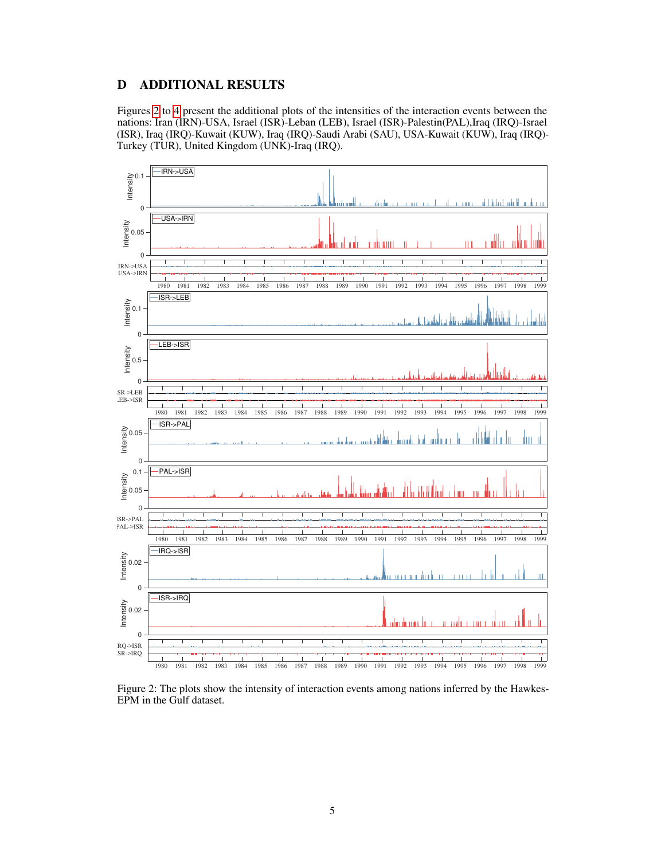## D ADDITIONAL RESULTS

Figures [2](#page-4-0) to [4](#page-6-0) present the additional plots of the intensities of the interaction events between the nations: Iran (IRN)-USA, Israel (ISR)-Leban (LEB), Israel (ISR)-Palestin(PAL),Iraq (IRQ)-Israel (ISR), Iraq (IRQ)-Kuwait (KUW), Iraq (IRQ)-Saudi Arabi (SAU), USA-Kuwait (KUW), Iraq (IRQ)- Turkey (TUR), United Kingdom (UNK)-Iraq (IRQ).

<span id="page-4-0"></span>

Figure 2: The plots show the intensity of interaction events among nations inferred by the Hawkes-EPM in the Gulf dataset.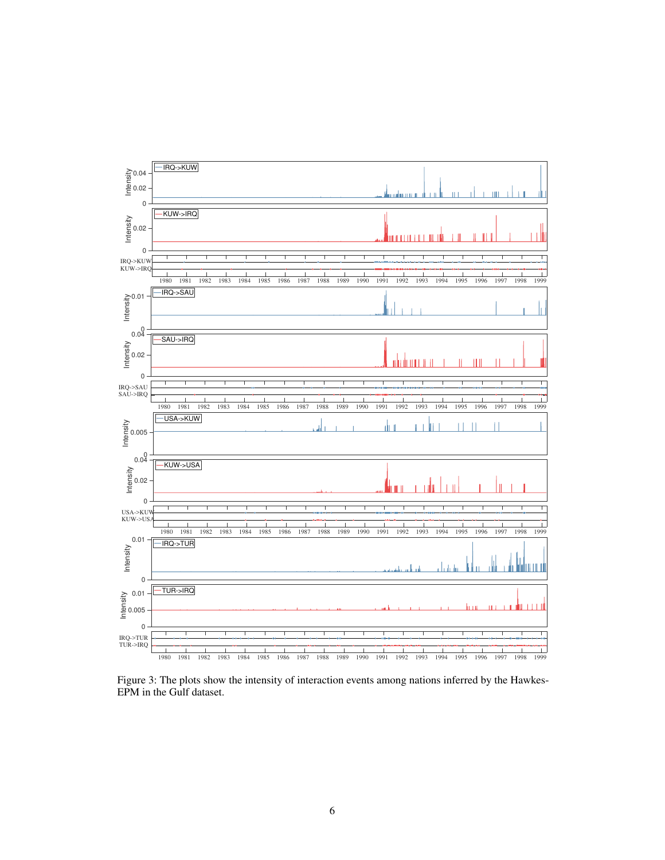

Figure 3: The plots show the intensity of interaction events among nations inferred by the Hawkes-EPM in the Gulf dataset.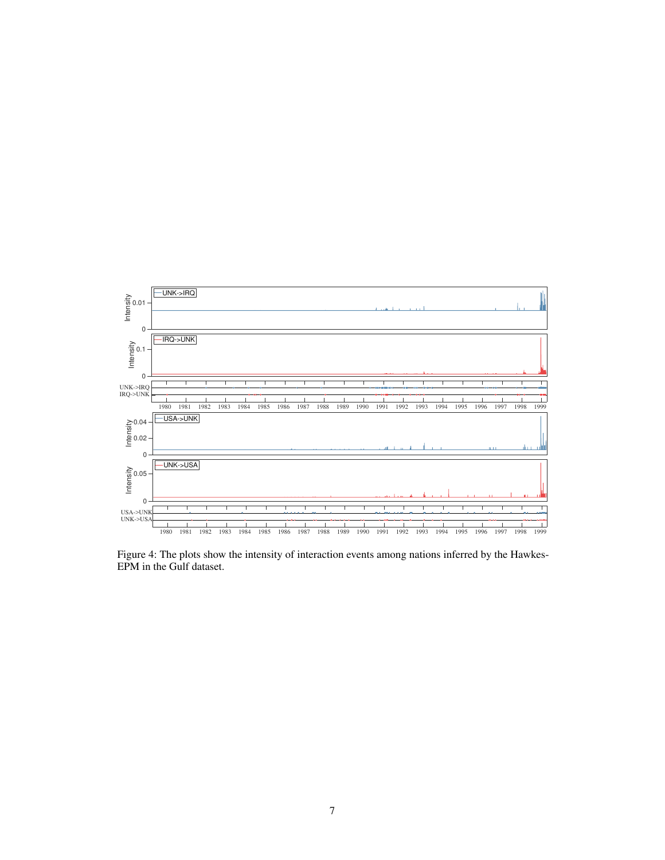<span id="page-6-0"></span>

Figure 4: The plots show the intensity of interaction events among nations inferred by the Hawkes-EPM in the Gulf dataset.